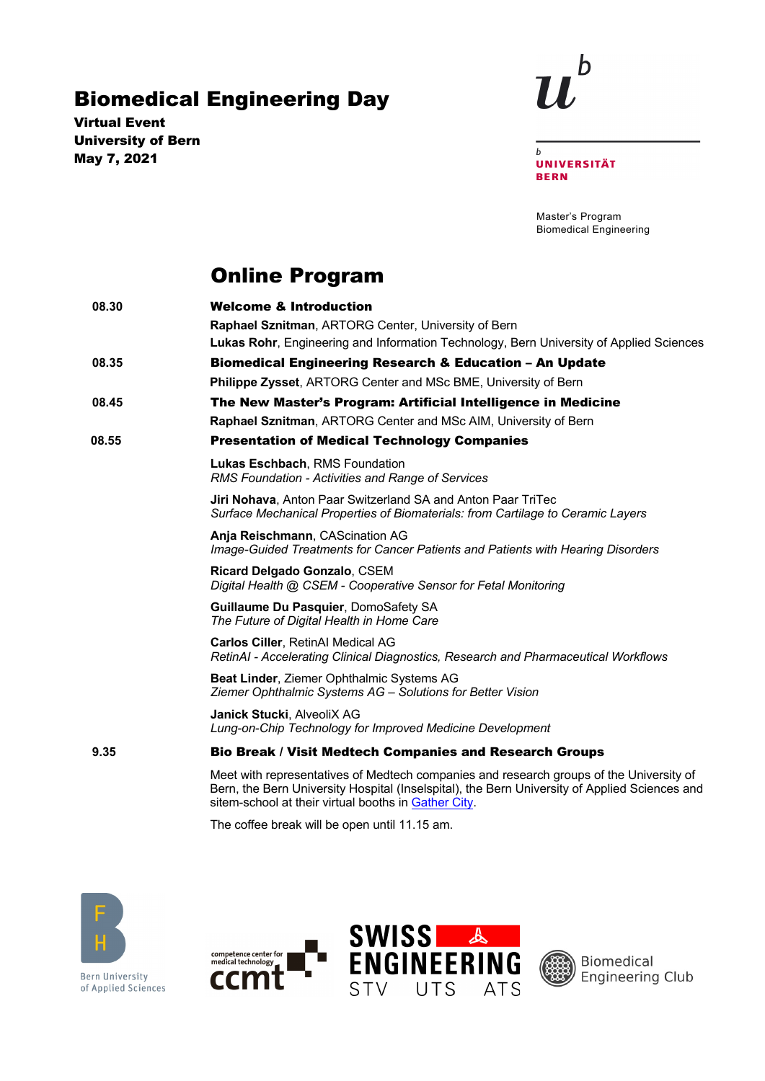## Biomedical Engineering Day

Virtual Event University of Bern May 7, 2021



 $\boldsymbol{b}$ **UNIVERSITÄT BERN** 

Master's Program Biomedical Engineering

## Online Program

| 08.30 | <b>Welcome &amp; Introduction</b>                                                                                                                                                                                                                |
|-------|--------------------------------------------------------------------------------------------------------------------------------------------------------------------------------------------------------------------------------------------------|
|       | Raphael Sznitman, ARTORG Center, University of Bern                                                                                                                                                                                              |
|       | Lukas Rohr, Engineering and Information Technology, Bern University of Applied Sciences                                                                                                                                                          |
| 08.35 | <b>Biomedical Engineering Research &amp; Education - An Update</b>                                                                                                                                                                               |
|       | Philippe Zysset, ARTORG Center and MSc BME, University of Bern                                                                                                                                                                                   |
| 08.45 | The New Master's Program: Artificial Intelligence in Medicine                                                                                                                                                                                    |
|       | <b>Raphael Sznitman, ARTORG Center and MSc AIM, University of Bern</b>                                                                                                                                                                           |
| 08.55 | <b>Presentation of Medical Technology Companies</b>                                                                                                                                                                                              |
|       | Lukas Eschbach, RMS Foundation<br>RMS Foundation - Activities and Range of Services                                                                                                                                                              |
|       | Jiri Nohava, Anton Paar Switzerland SA and Anton Paar TriTec<br>Surface Mechanical Properties of Biomaterials: from Cartilage to Ceramic Layers                                                                                                  |
|       | Anja Reischmann, CAScination AG<br>Image-Guided Treatments for Cancer Patients and Patients with Hearing Disorders                                                                                                                               |
|       | Ricard Delgado Gonzalo, CSEM<br>Digital Health @ CSEM - Cooperative Sensor for Fetal Monitoring                                                                                                                                                  |
|       | Guillaume Du Pasquier, DomoSafety SA<br>The Future of Digital Health in Home Care                                                                                                                                                                |
|       | <b>Carlos Ciller, RetinAl Medical AG</b><br>RetinAI - Accelerating Clinical Diagnostics, Research and Pharmaceutical Workflows                                                                                                                   |
|       | Beat Linder, Ziemer Ophthalmic Systems AG<br>Ziemer Ophthalmic Systems AG - Solutions for Better Vision                                                                                                                                          |
|       | Janick Stucki, AlveoliX AG<br>Lung-on-Chip Technology for Improved Medicine Development                                                                                                                                                          |
| 9.35  | <b>Bio Break / Visit Medtech Companies and Research Groups</b>                                                                                                                                                                                   |
|       | Meet with representatives of Medtech companies and research groups of the University of<br>Bern, the Bern University Hospital (Inselspital), the Bern University of Applied Sciences and<br>sitem-school at their virtual booths in Gather City. |

The coffee break will be open until 11.15 am.



**Bern University** of Applied Sciences